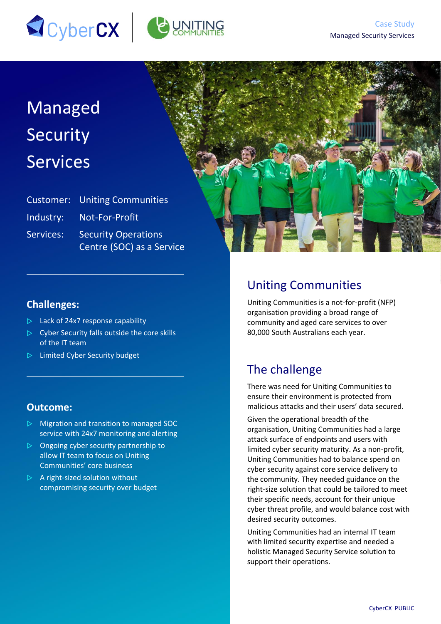



# Managed Security **Services**

|           | <b>Customer:</b> Uniting Communities |
|-----------|--------------------------------------|
|           | Industry: Not-For-Profit             |
| Services: | <b>Security Operations</b>           |
|           | Centre (SOC) as a Service            |



#### **Challenges:**

- $\triangleright$  Lack of 24x7 response capability
- $\triangleright$  Cyber Security falls outside the core skills of the IT team
- $\triangleright$  Limited Cyber Security budget

#### **Outcome:**

- $\triangleright$  Migration and transition to managed SOC service with 24x7 monitoring and alerting
- $\triangleright$  Ongoing cyber security partnership to allow IT team to focus on Uniting Communities' core business
- $\triangleright$  A right-sized solution without compromising security over budget

## Uniting Communities

Uniting Communities is a not-for-profit (NFP) organisation providing a broad range of community and aged care services to over 80,000 South Australians each year.

### The challenge

There was need for Uniting Communities to ensure their environment is protected from malicious attacks and their users' data secured.

Given the operational breadth of the organisation, Uniting Communities had a large attack surface of endpoints and users with limited cyber security maturity. As a non-profit, Uniting Communities had to balance spend on cyber security against core service delivery to the community. They needed guidance on the right-size solution that could be tailored to meet their specific needs, account for their unique cyber threat profile, and would balance cost with desired security outcomes.

Uniting Communities had an internal IT team with limited security expertise and needed a holistic Managed Security Service solution to support their operations.